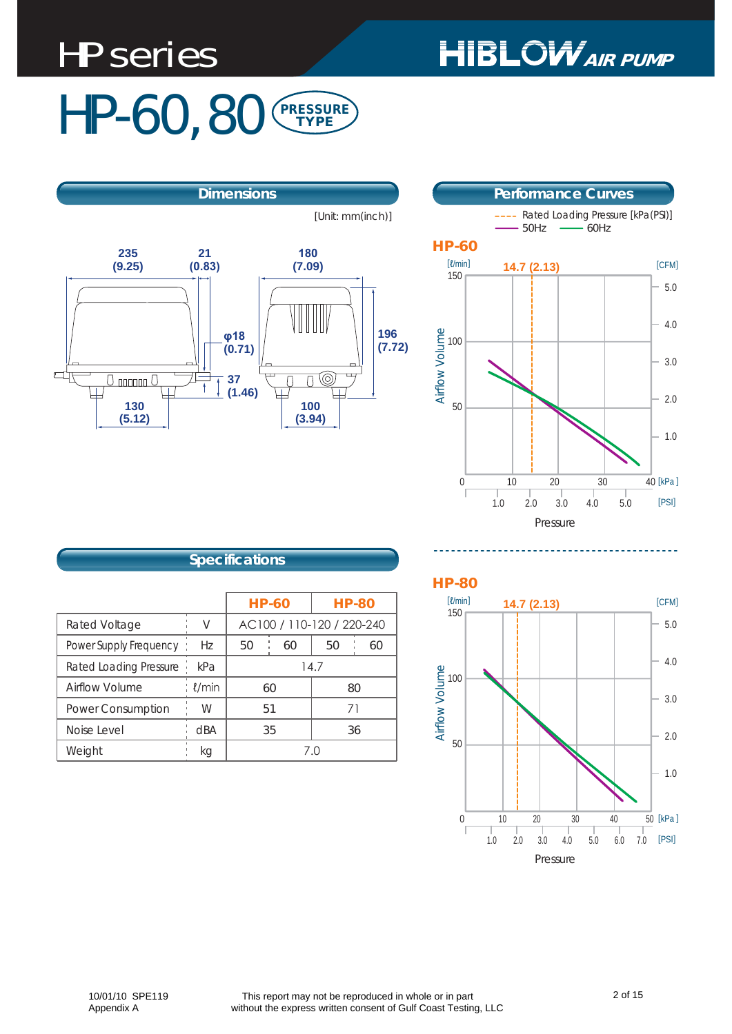# HP series

# **HIBLOW** AIR PUMP

### HP-60, 80 PRESSURE TYPE

[Unit: mm(inch)]





#### **Specifications**

|                               |             | <b>HP-60</b>              | <b>HP-80</b> |
|-------------------------------|-------------|---------------------------|--------------|
| Rated Voltage                 | V           | AC100 / 110-120 / 220-240 |              |
| Power Supply Frequency        | Hz          | 60<br>50                  | 50<br>60     |
| <b>Rated Loading Pressure</b> | kPa         | 14.7                      |              |
| Airflow Volume                | $\ell$ /min | 60                        | 80           |
| <b>Power Consumption</b>      | W           | 51                        | 71           |
| Noise Level                   | dBA         | 35                        | 36           |
| Weight                        | kg          | 7 N                       |              |



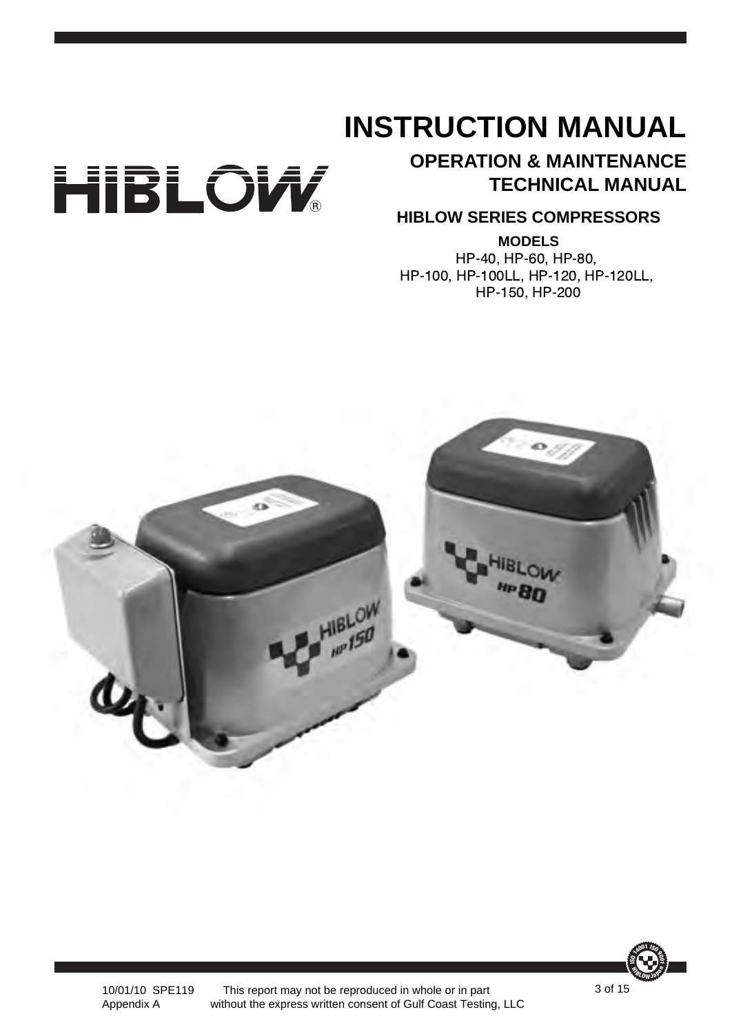# **INSTRUCTION MANUAL**



### **OPERATION & MAINTENANCE TECHNICAL MANUAL**

#### **HIBLOW SERIES COMPRESSORS**

**MODELS** HP-40, HP-60, HP-80, HP-100, HP-100LL, HP-120, HP-120LL, HP-150, HP-200





10/01/10 SPE119 This report may not be reproduced in whole or in part without the express written consent of Gulf Coast Testing, LLC

Appendix A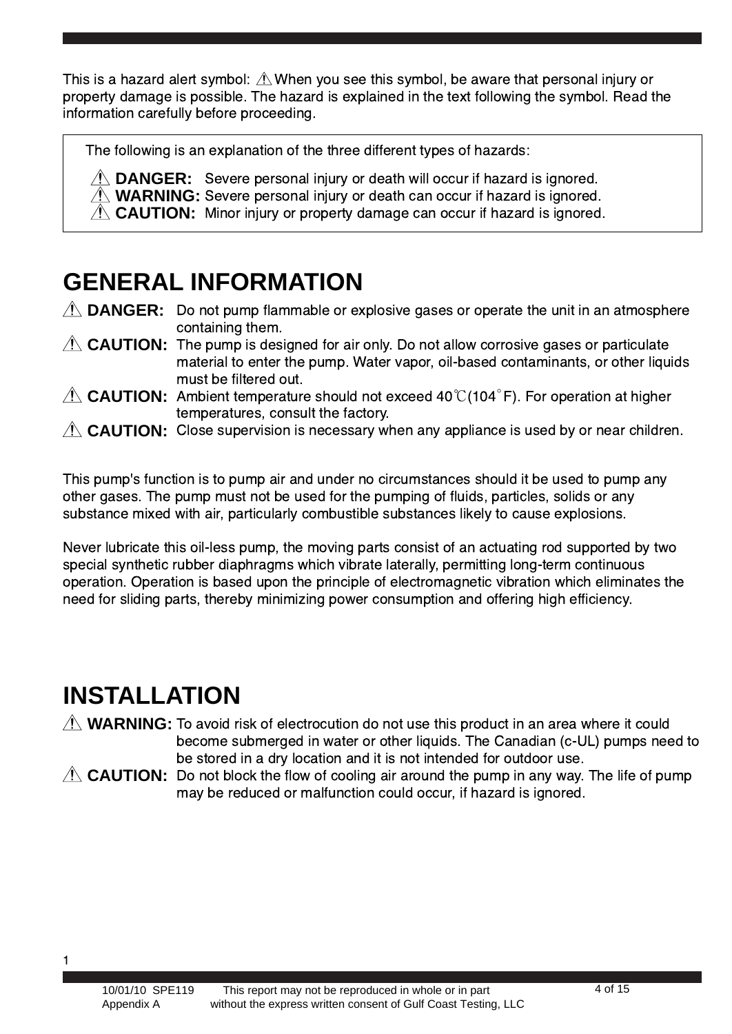This is a hazard alert symbol:  $\triangle$  When you see this symbol, be aware that personal injury or property damage is possible. The hazard is explained in the text following the symbol. Read the information carefully before proceeding.

The following is an explanation of the three different types of hazards:

**DANGER:** Severe personal injury or death will occur if hazard is ignored. **WARNING:** Severe personal injury or death can occur if hazard is ignored. CAUTION: Minor injury or property damage can occur if hazard is ignored.

### **GENERAL INFORMATION**

**DANGER:** Do not pump flammable or explosive gases or operate the unit in an atmosphere containing them.

- CAUTION: The pump is designed for air only. Do not allow corrosive gases or particulate material to enter the pump. Water vapor, oil-based contaminants, or other liquids must be filtered out.
- $CAUTION:$  Ambient temperature should not exceed 40° $\mathbb{C}$ (104°F). For operation at higher temperatures, consult the factory.
- CAUTION: Close supervision is necessary when any appliance is used by or near children.

This pump's function is to pump air and under no circumstances should it be used to pump any other gases. The pump must not be used for the pumping of fluids, particles, solids or any substance mixed with air, particularly combustible substances likely to cause explosions.

Never lubricate this oil-less pump, the moving parts consist of an actuating rod supported by two special synthetic rubber diaphragms which vibrate laterally, permitting long-term continuous operation. Operation is based upon the principle of electromagnetic vibration which eliminates the need for sliding parts, thereby minimizing power consumption and offering high efficiency.

### **INSTALLATION**

**WARNING:** To avoid risk of electrocution do not use this product in an area where it could become submerged in water or other liquids. The Canadian (c-UL) pumps need to be stored in a dry location and it is not intended for outdoor use.

CAUTION: Do not block the flow of cooling air around the pump in any way. The life of pump may be reduced or malfunction could occur, if hazard is ignored.

\*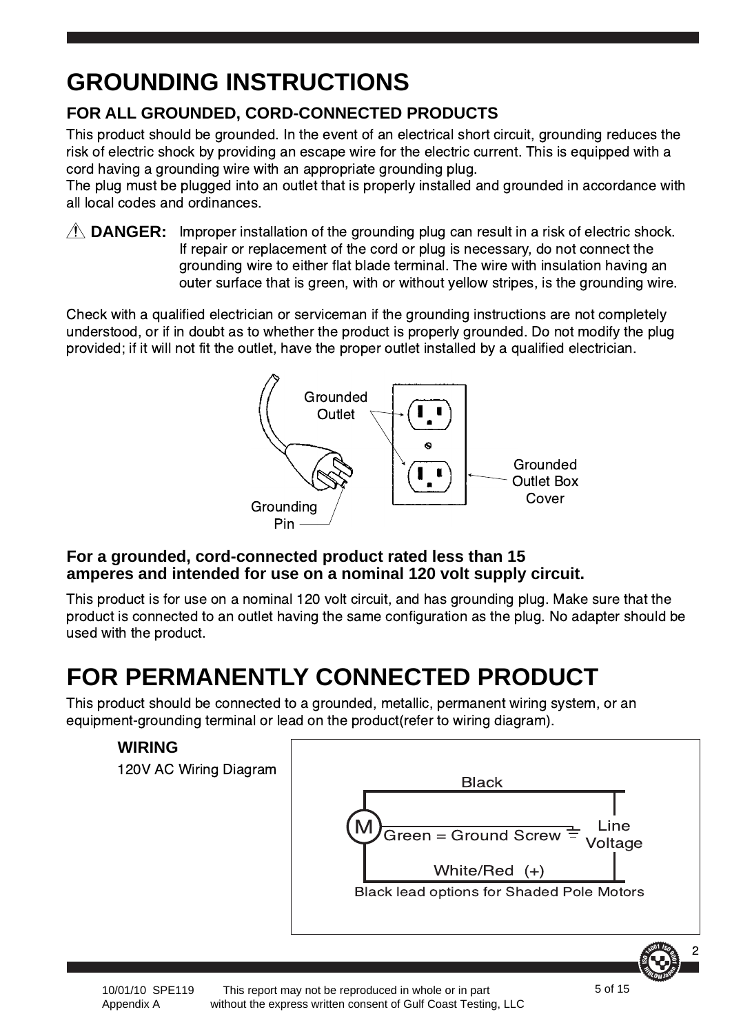# **GROUNDING INSTRUCTIONS**

### **FOR ALL GROUNDED, CORD-CONNECTED PRODUCTS**

This product should be grounded. In the event of an electrical short circuit, grounding reduces the risk of electric shock by providing an escape wire for the electric current. This is equipped with a cord having a grounding wire with an appropriate grounding plug.

The plug must be plugged into an outlet that is properly installed and grounded in accordance with all local codes and ordinances.

**DANGER:** Improper installation of the grounding plug can result in a risk of electric shock. If repair or replacement of the cord or plug is necessary, do not connect the grounding wire to either flat blade terminal. The wire with insulation having an outer surface that is green, with or without yellow stripes, is the grounding wire.

Check with a qualified electrician or serviceman if the grounding instructions are not completely understood, or if in doubt as to whether the product is properly grounded. Do not modify the plug provided; if it will not fit the outlet, have the proper outlet installed by a qualified electrician.



#### **For a grounded, cord-connected product rated less than 15 amperes and intended for use on a nominal 120 volt supply circuit.**

This product is for use on a nominal 120 volt circuit, and has grounding plug. Make sure that the product is connected to an outlet having the same configuration as the plug. No adapter should be used with the product.

## **FOR PERMANENTLY CONNECTED PRODUCT**

This product should be connected to a grounded, metallic, permanent wiring system, or an equipment-grounding terminal or lead on the product(refer to wiring diagram).





 This report may not be reproduced in whole or in part without the express written consent of Gulf Coast Testing, LLC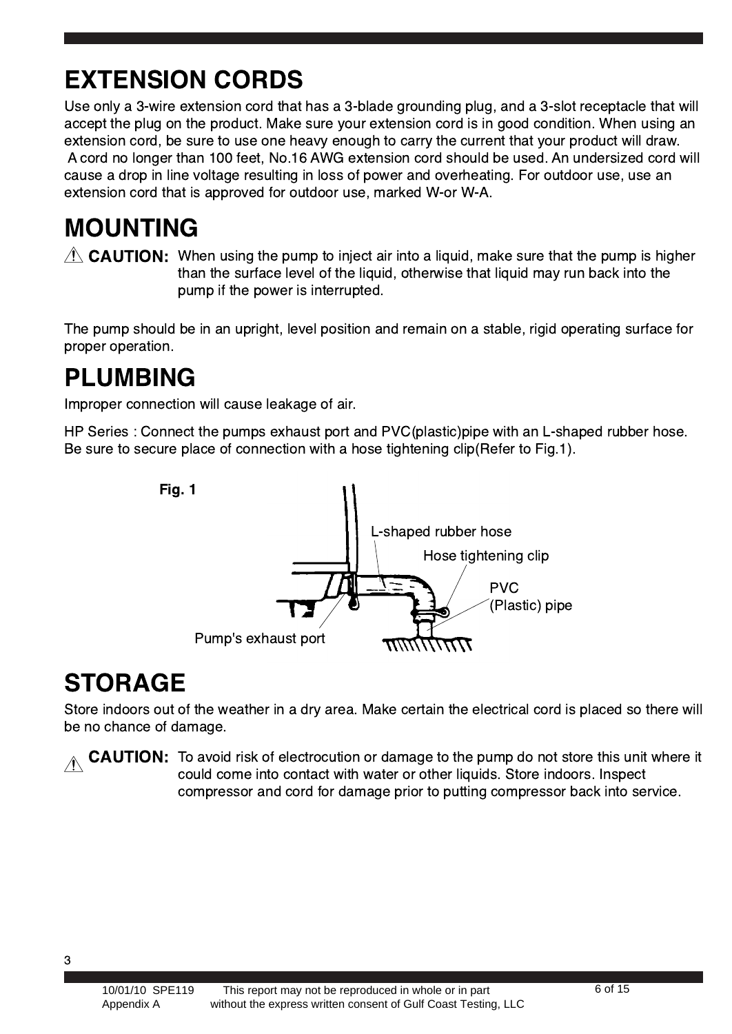# **EXTENSION CORDS**

Use only a 3-wire extension cord that has a 3-blade grounding plug, and a 3-slot receptacle that will accept the plug on the product. Make sure your extension cord is in good condition. When using an extension cord, be sure to use one heavy enough to carry the current that your product will draw. A cord no longer than 100 feet, No.16 AWG extension cord should be used. An undersized cord will cause a drop in line voltage resulting in loss of power and overheating. For outdoor use, use an extension cord that is approved for outdoor use, marked W-or W-A.

### **MOUNTING**

 $\triangle$  CAUTION: When using the pump to inject air into a liquid, make sure that the pump is higher than the surface level of the liquid, otherwise that liquid may run back into the pump if the power is interrupted.

The pump should be in an upright, level position and remain on a stable, rigid operating surface for proper operation.

### **PLUMBING**

Improper connection will cause leakage of air.

HP Series : Connect the pumps exhaust port and PVC(plastic)pipe with an L-shaped rubber hose. Be sure to secure place of connection with a hose tightening clip(Refer to Fig.1).



### **STORAGE**

Store indoors out of the weather in a dry area. Make certain the electrical cord is placed so there will be no chance of damage.

 $\wedge$  CAUTION: To avoid risk of electrocution or damage to the pump do not store this unit where it could come into contact with water or other liquids. Store indoors. Inspect compressor and cord for damage prior to putting compressor back into service.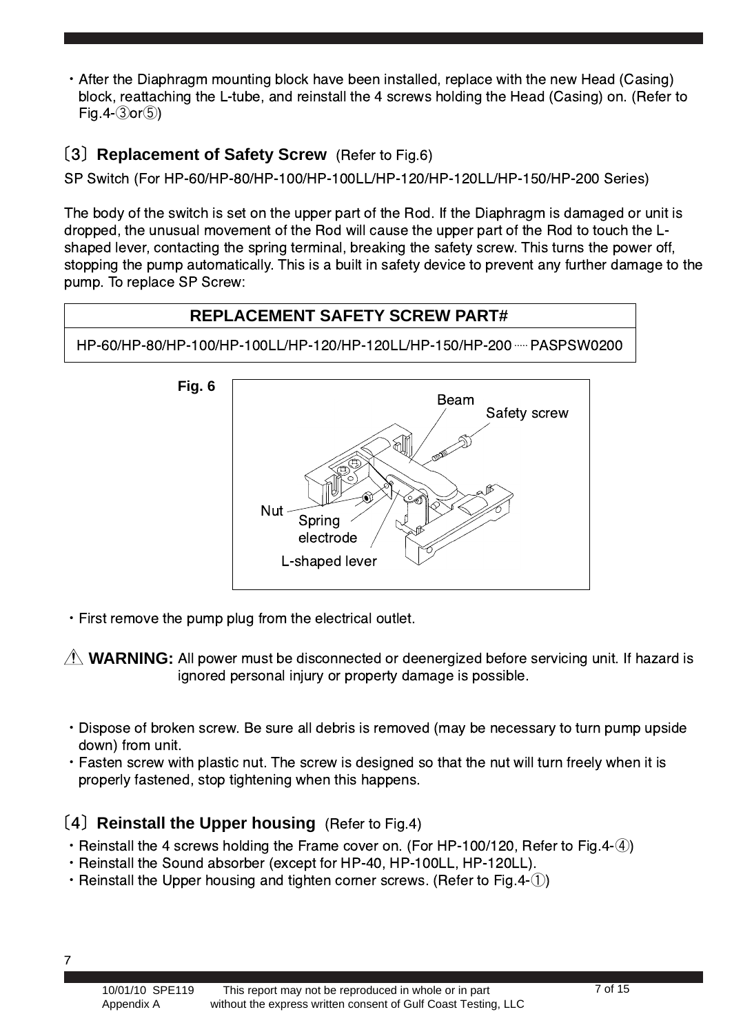• After the Diaphragm mounting block have been installed, replace with the new Head (Casing) block, reattaching the L-tube, and reinstall the 4 screws holding the Head (Casing) on. (Refer to Fig.  $4-(3)$ or $(5)$ )

#### [3] Replacement of Safety Screw (Refer to Fig.6)

SP Switch (For HP-60/HP-80/HP-100/HP-100LL/HP-120/HP-120LL/HP-150/HP-200 Series)

The body of the switch is set on the upper part of the Rod. If the Diaphragm is damaged or unit is dropped, the unusual movement of the Rod will cause the upper part of the Rod to touch the Lshaped lever, contacting the spring terminal, breaking the safety screw. This turns the power off, stopping the pump automatically. This is a built in safety device to prevent any further damage to the pump. To replace SP Screw:



. First remove the pump plug from the electrical outlet.

 $\triangle$  WARNING: All power must be disconnected or deenergized before servicing unit. If hazard is ignored personal injury or property damage is possible.

- Dispose of broken screw. Be sure all debris is removed (may be necessary to turn pump upside down) from unit.
- Fasten screw with plastic nut. The screw is designed so that the nut will turn freely when it is properly fastened, stop tightening when this happens.

#### [4] Reinstall the Upper housing (Refer to Fig.4)

- Reinstall the 4 screws holding the Frame cover on. (For HP-100/120, Refer to Fig.4- $(4)$ )
- · Reinstall the Sound absorber (except for HP-40, HP-100LL, HP-120LL).
- Reinstall the Upper housing and tighten corner screws. (Refer to Fig. 4-1))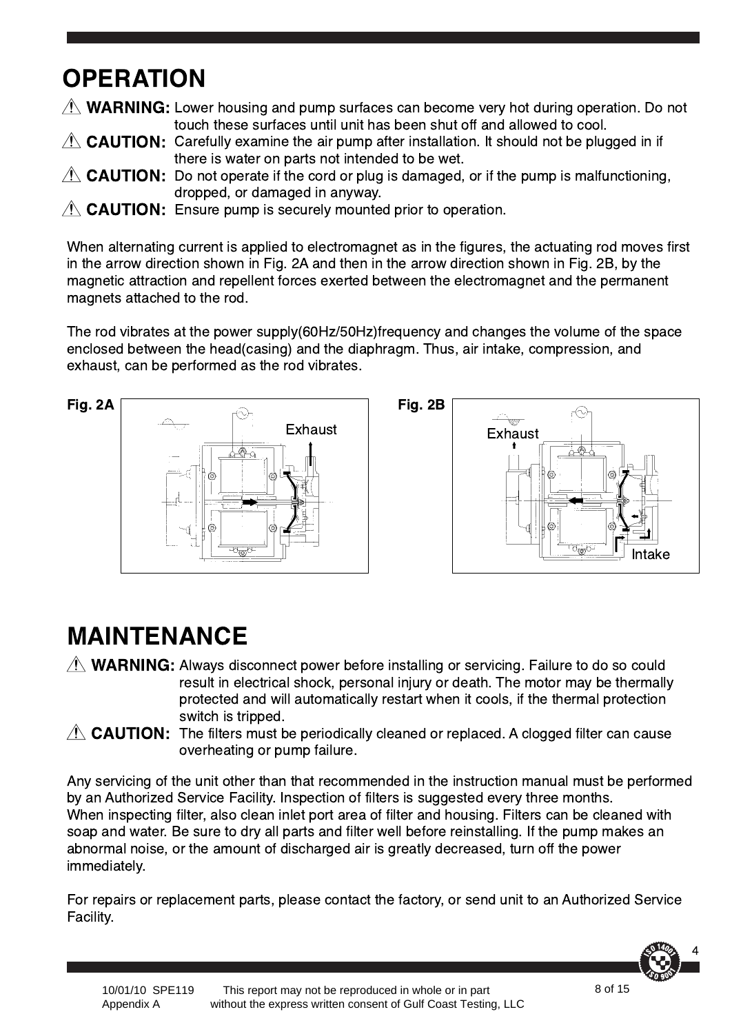## **OPERATION**

WARNING: Lower housing and pump surfaces can become very hot during operation. Do not touch these surfaces until unit has been shut off and allowed to cool.

- CAUTION: Carefully examine the air pump after installation. It should not be plugged in if there is water on parts not intended to be wet.
- **CAUTION:** Do not operate if the cord or plug is damaged, or if the pump is malfunctioning, dropped, or damaged in anyway.
- **CAUTION:** Ensure pump is securely mounted prior to operation.

When alternating current is applied to electromagnet as in the figures, the actuating rod moves first in the arrow direction shown in Fig. 2A and then in the arrow direction shown in Fig. 2B, by the magnetic attraction and repellent forces exerted between the electromagnet and the permanent magnets attached to the rod.

The rod vibrates at the power supply(60Hz/50Hz)frequency and changes the volume of the space enclosed between the head(casing) and the diaphragm. Thus, air intake, compression, and exhaust, can be performed as the rod vibrates.





### **MAINTENANCE**

- WARNING: Always disconnect power before installing or servicing. Failure to do so could result in electrical shock, personal injury or death. The motor may be thermally protected and will automatically restart when it cools, if the thermal protection switch is tripped.
	- CAUTION: The filters must be periodically cleaned or replaced. A clogged filter can cause overheating or pump failure.

Any servicing of the unit other than that recommended in the instruction manual must be performed by an Authorized Service Facility. Inspection of filters is suggested every three months. When inspecting filter, also clean inlet port area of filter and housing. Filters can be cleaned with soap and water. Be sure to dry all parts and filter well before reinstalling. If the pump makes an abnormal noise, or the amount of discharged air is greatly decreased, turn off the power immediately.

For repairs or replacement parts, please contact the factory, or send unit to an Authorized Service Facility.

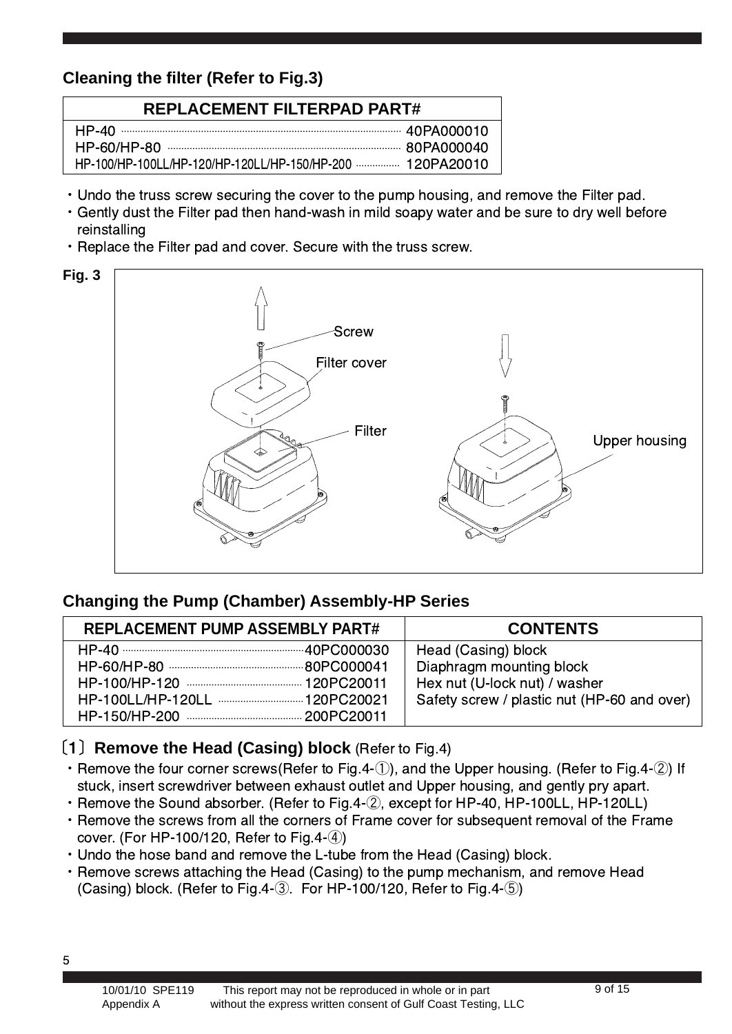#### **Cleaning the filter (Refer to Fig.3)**

| <b>REPLACEMENT FILTERPAD PART#</b>                        |  |  |
|-----------------------------------------------------------|--|--|
| HP-100/HP-100LL/HP-120/HP-120LL/HP-150/HP-200  120PA20010 |  |  |

- Undo the truss screw securing the cover to the pump housing, and remove the Filter pad.
- Gently dust the Filter pad then hand-wash in mild soapy water and be sure to dry well before reinstalling
- Replace the Filter pad and cover. Secure with the truss screw.



#### **Changing the Pump (Chamber) Assembly-HP Series**

| <b>REPLACEMENT PUMP ASSEMBLY PART#</b> | <b>CONTENTS</b>                                                                                                                 |  |
|----------------------------------------|---------------------------------------------------------------------------------------------------------------------------------|--|
|                                        | Head (Casing) block<br>Diaphragm mounting block<br>Hex nut (U-lock nut) / washer<br>Safety screw / plastic nut (HP-60 and over) |  |

#### **[1] Remove the Head (Casing) block** (Refer to Fig.4)

- $\cdot$  Remove the four corner screws(Refer to Fig.4- $\circ$ ), and the Upper housing. (Refer to Fig.4- $\circ$ ) If stuck, insert screwdriver between exhaust outlet and Upper housing, and gently pry apart.
- $\cdot$  Remove the Sound absorber. (Refer to Fig.4- $\oslash$ ), except for HP-40, HP-100LL, HP-120LL)
- Remove the screws from all the corners of Frame cover for subsequent removal of the Frame cover. (For HP-100/120, Refer to Fig.4-④)
- Undo the hose band and remove the L-tube from the Head (Casing) block.
- Remove screws attaching the Head (Casing) to the pump mechanism, and remove Head (Casing) block. (Refer to Fig.4-③. For HP-100/120, Refer to Fig.4-⑤)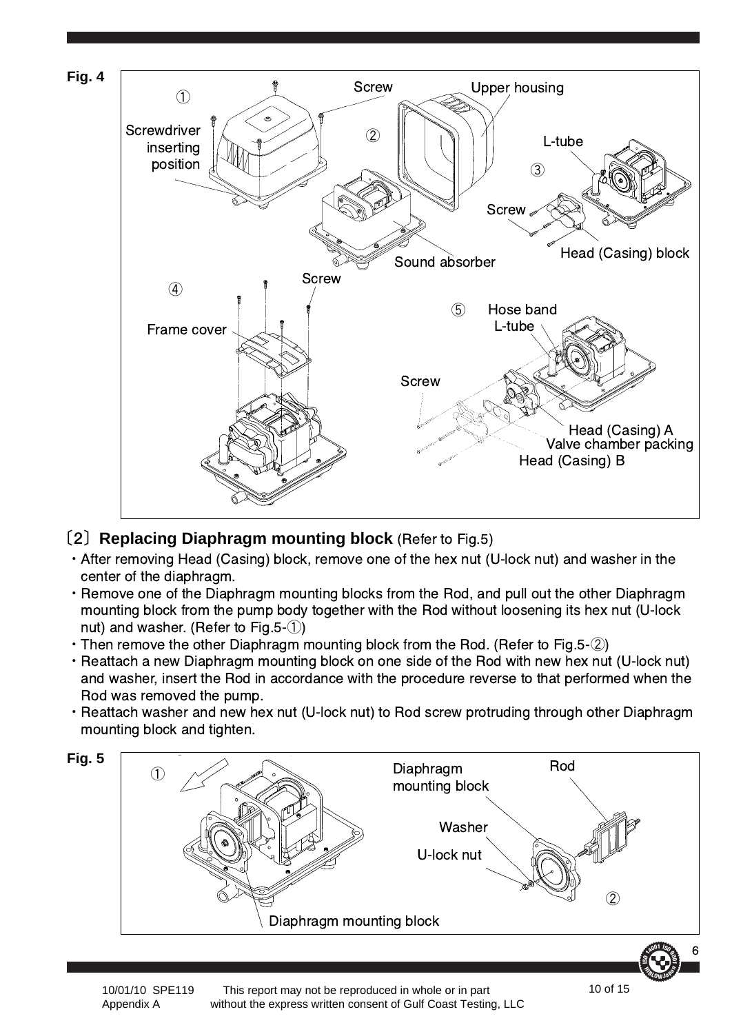

#### **(2) Replacing Diaphragm mounting block** (Refer to Fig.5)

- After removing Head (Casing) block, remove one of the hex nut (U-lock nut) and washer in the center of the diaphragm.
- $\cdot$  Remove one of the Diaphragm mounting blocks from the Rod, and pull out the other Diaphragm mounting block from the pump body together with the Rod without loosening its hex nut (U-lock nut) and washer. (Refer to Fig. 5- $(1)$ )
- $\cdot$  Then remove the other Diaphragm mounting block from the Rod. (Refer to Fig.5- $(2)$ )
- Reattach a new Diaphragm mounting block on one side of the Rod with new hex nut (U-lock nut) and washer, insert the Rod in accordance with the procedure reverse to that performed when the Rod was removed the pump.
- Reattach washer and new hex nut (U-lock nut) to Rod screw protruding through other Diaphragm mounting block and tighten.

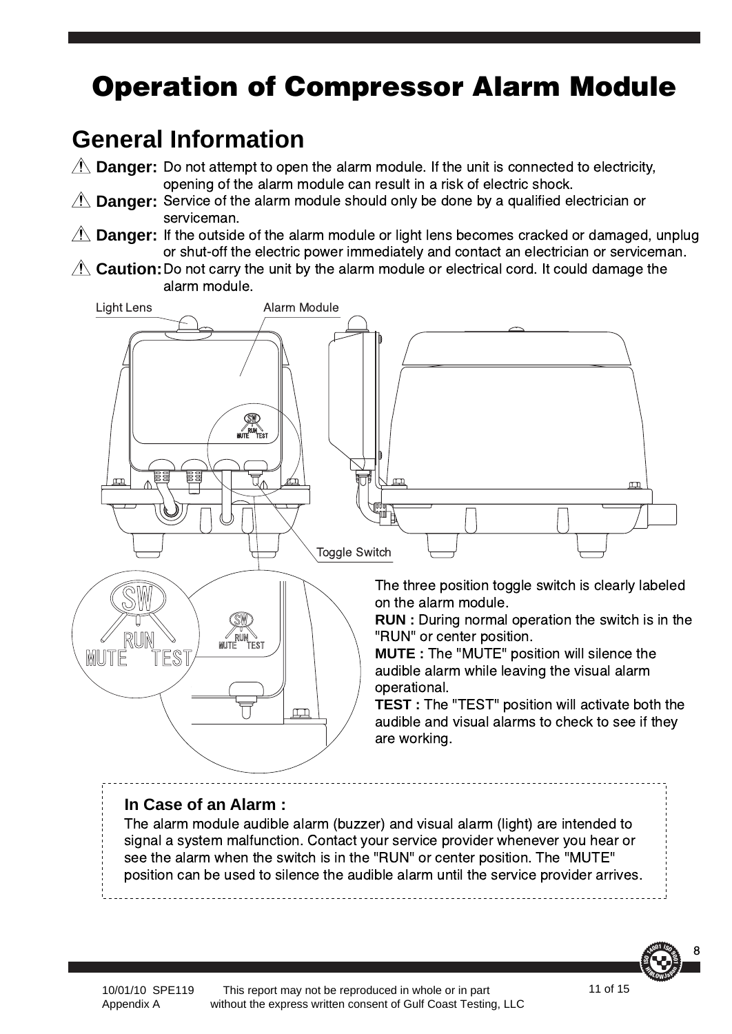# **Operation of Compressor Alarm Module**

### **General Information**

**Danger:** Do not attempt to open the alarm module. If the unit is connected to electricity, opening of the alarm module can result in a risk of electric shock.

- **Danger:** Service of the alarm module should only be done by a qualified electrician or serviceman.
- **Danger:** If the outside of the alarm module or light lens becomes cracked or damaged, unplug or shut-off the electric power immediately and contact an electrician or serviceman.

Caution: Do not carry the unit by the alarm module or electrical cord. It could damage the alarm module.



#### **In Case of an Alarm :**

The alarm module audible alarm (buzzer) and visual alarm (light) are intended to signal a system malfunction. Contact your service provider whenever you hear or see the alarm when the switch is in the "RUN" or center position. The "MUTE" position can be used to silence the audible alarm until the service provider arrives.



 This report may not be reproduced in whole or in part without the express written consent of Gulf Coast Testing, LLC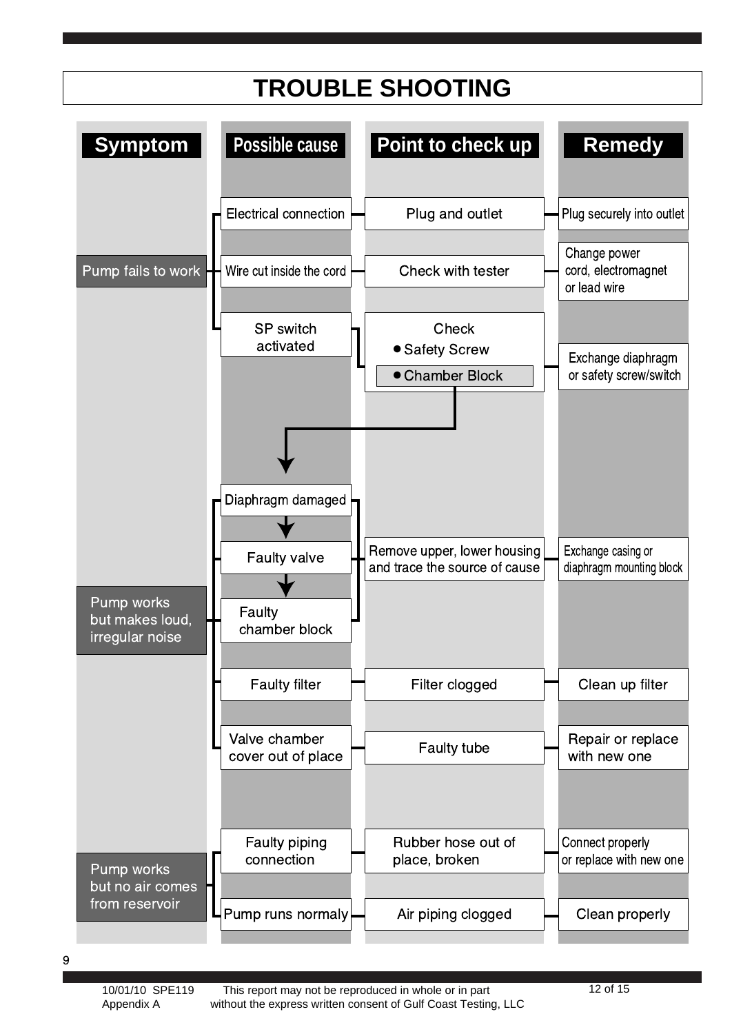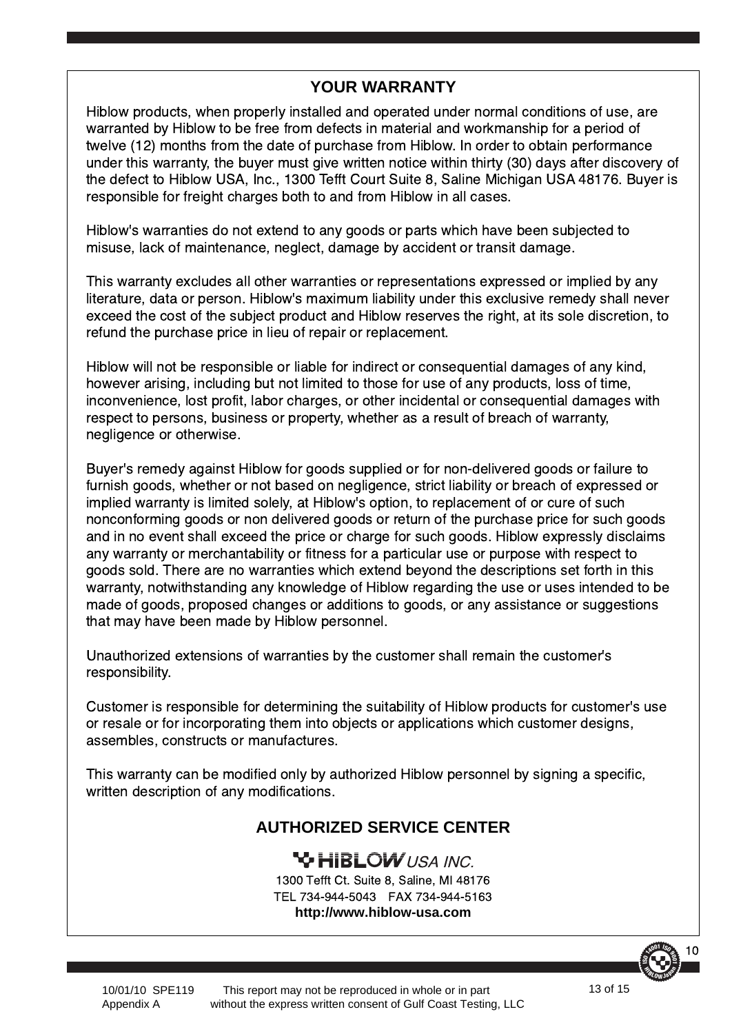#### **YOUR WARRANTY**

Hiblow products, when properly installed and operated under normal conditions of use, are warranted by Hiblow to be free from defects in material and workmanship for a period of twelve (12) months from the date of purchase from Hiblow. In order to obtain performance under this warranty, the buyer must give written notice within thirty (30) days after discovery of the defect to Hiblow USA, Inc., 1300 Tefft Court Suite 8, Saline Michigan USA 48176. Buyer is responsible for freight charges both to and from Hiblow in all cases.

Hiblow's warranties do not extend to any goods or parts which have been subjected to misuse, lack of maintenance, neglect, damage by accident or transit damage.

This warranty excludes all other warranties or representations expressed or implied by any literature, data or person. Hiblow's maximum liability under this exclusive remedy shall never exceed the cost of the subject product and Hiblow reserves the right, at its sole discretion, to refund the purchase price in lieu of repair or replacement.

Hiblow will not be responsible or liable for indirect or consequential damages of any kind, however arising, including but not limited to those for use of any products, loss of time, inconvenience, lost profit, labor charges, or other incidental or consequential damages with respect to persons, business or property, whether as a result of breach of warranty, negligence or otherwise.

Buyer's remedy against Hiblow for goods supplied or for non-delivered goods or failure to furnish goods, whether or not based on negligence, strict liability or breach of expressed or implied warranty is limited solely, at Hiblow's option, to replacement of or cure of such nonconforming goods or non delivered goods or return of the purchase price for such goods and in no event shall exceed the price or charge for such goods. Hiblow expressly disclaims any warranty or merchantability or fitness for a particular use or purpose with respect to goods sold. There are no warranties which extend beyond the descriptions set forth in this warranty, notwithstanding any knowledge of Hiblow regarding the use or uses intended to be made of goods, proposed changes or additions to goods, or any assistance or suggestions that may have been made by Hiblow personnel.

Unauthorized extensions of warranties by the customer shall remain the customer's responsibility.

Customer is responsible for determining the suitability of Hiblow products for customer's use or resale or for incorporating them into objects or applications which customer designs, assembles, constructs or manufactures.

This warranty can be modified only by authorized Hiblow personnel by signing a specific, written description of any modifications.

#### **AUTHORIZED SERVICE CENTER**

#### **YG HIBLOW** USA INC.

1300 Tefft Ct. Suite 8, Saline, MI 48176 TEL 734-944-5043 FAX 734-944-5163 **http://www.hiblow-usa.com**



10/01/10 SPE119 Appendix A

 This report may not be reproduced in whole or in part without the express written consent of Gulf Coast Testing, LLC 13 of 15